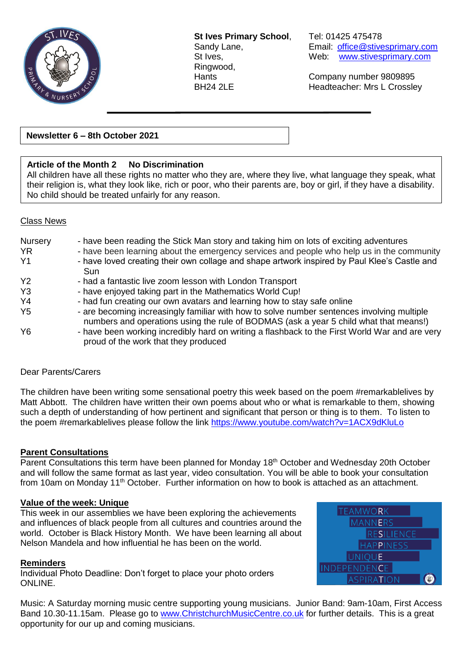

**St Ives Primary School**, Tel: 01425 475478 Ringwood,

Sandy Lane, **Email:** [office@stivesprimary.com](mailto:office@stivesprimary.com) St Ives, Web: [www.stivesprimary.com](http://www.stives.dorset.sch.uk/)

Hants Company number 9809895 BH24 2LE Headteacher: Mrs L Crossley

**Newsletter 6 – 8th October 2021**

## **Article of the Month 2 No Discrimination**

All children have all these rights no matter who they are, where they live, what language they speak, what their religion is, what they look like, rich or poor, who their parents are, boy or girl, if they have a disability. No child should be treated unfairly for any reason.

#### Class News

| Nursery<br><b>YR</b><br>Y <sub>1</sub> | - have been reading the Stick Man story and taking him on lots of exciting adventures<br>- have been learning about the emergency services and people who help us in the community<br>- have loved creating their own collage and shape artwork inspired by Paul Klee's Castle and<br><b>Sun</b> |
|----------------------------------------|--------------------------------------------------------------------------------------------------------------------------------------------------------------------------------------------------------------------------------------------------------------------------------------------------|
| <b>Y2</b>                              | - had a fantastic live zoom lesson with London Transport                                                                                                                                                                                                                                         |
| Y <sub>3</sub>                         | - have enjoyed taking part in the Mathematics World Cup!                                                                                                                                                                                                                                         |
| Y4                                     | - had fun creating our own avatars and learning how to stay safe online                                                                                                                                                                                                                          |
| Y <sub>5</sub>                         | - are becoming increasingly familiar with how to solve number sentences involving multiple<br>numbers and operations using the rule of BODMAS (ask a year 5 child what that means!)                                                                                                              |
| Y <sub>6</sub>                         | - have been working incredibly hard on writing a flashback to the First World War and are very<br>proud of the work that they produced                                                                                                                                                           |

#### Dear Parents/Carers

The children have been writing some sensational poetry this week based on the poem #remarkablelives by Matt Abbott. The children have written their own poems about who or what is remarkable to them, showing such a depth of understanding of how pertinent and significant that person or thing is to them. To listen to the poem #remarkablelives please follow the link<https://www.youtube.com/watch?v=1ACX9dKluLo>

## **Parent Consultations**

Parent Consultations this term have been planned for Monday 18<sup>th</sup> October and Wednesday 20th October and will follow the same format as last year, video consultation. You will be able to book your consultation from 10am on Monday 11<sup>th</sup> October. Further information on how to book is attached as an attachment.

#### **Value of the week: Unique**

This week in our assemblies we have been exploring the achievements and influences of black people from all cultures and countries around the world. October is Black History Month. We have been learning all about Nelson Mandela and how influential he has been on the world.

#### **Reminders**

Individual Photo Deadline: Don't forget to place your photo orders ONLINE.



Music: A Saturday morning music centre supporting young musicians. Junior Band: 9am-10am, First Access Band 10.30-11.15am. Please go to [www.ChristchurchMusicCentre.co.uk](http://www.christchurchmusiccentre.co.uk/) for further details. This is a great opportunity for our up and coming musicians.